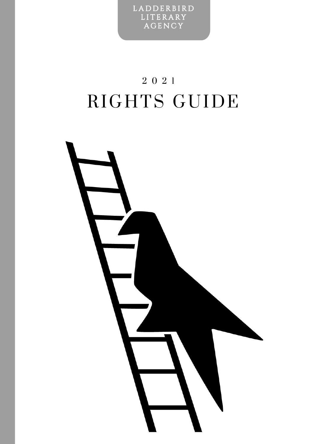L A D D E R B I R D **LITERARY AGENCY** 

## 2 0 2 1 RIGHTS GUIDE

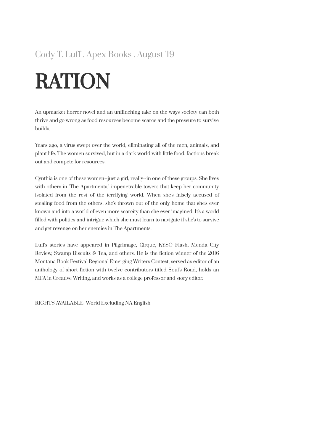#### Cody T. Luff . Apex Books . August '19

# RATION

An upmarket horror novel and an unflinching take on the ways society can both thrive and go wrong as food resources become scarce and the pressure to survive builds.

Years ago, a virus swept over the world, eliminating all of the men, animals, and plant life. The women survived, but in a dark world with little food, factions break out and compete for resources.

Cynthia is one of these women--just a girl, really--in one of these groups. She lives with others in 'The Apartments,' impenetrable towers that keep her community isolated from the rest of the terrifying world. When she's falsely accused of stealing food from the others, she's thrown out of the only home that she's ever known and into a world of even more scarcity than she ever imagined. It's a world filled with politics and intrigue which she must learn to navigate if she's to survive and get revenge on her enemies in The Apartments.

Luff's stories have appeared in Pilgrimage, Cirque, KYSO Flash, Menda City Review, Swamp Biscuits & Tea, and others. He is the fiction winner of the 2016 Montana Book Festival Regional Emerging Writers Contest, served as editor of an anthology of short fiction with twelve contributors titled Soul's Road, holds an MFA in Creative Writing, and works as a college professor and story editor.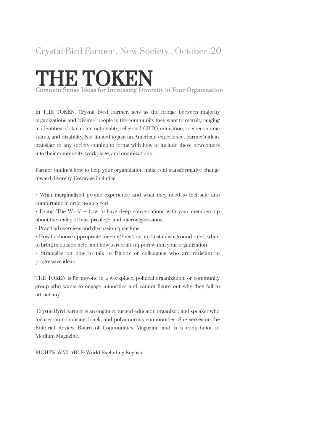### Crystal Bird Farmer . New Society . October '20

## THE TOKEN

Com mon S ense I deas for In crea sing Diversity in Your Organization

In THE TOKEN, Crystal Byrd Farmer, acts as the bridge between majority organizations and "diverse" people in the community they want to recruit, ranging in identities of skin color, nationality, religion, LGBTQ, education, socioeconomic status, and disability. Not limited to just an American experience, Farmer's ideas translate to any society coming to terms with how to include these newcomers into their community, workplace, and organizations.

Farmer outlines how to help your organization make real transformative change toward diversity. Coverage includes:

• What marginalized people experience and what they need to feel safe and comfortable in order to succeed

• Doing "The Work" – how to have deep conversations with your membership about the reality of bias, privilege, and microaggressions

• Practical exercises and discussion questions

• How to choose appropriate meeting locations and establish ground rules, when to bring in outside help, and how to recruit support within your organization

• Strategies on how to talk to friends or colleagues who are resistant to progressive ideas.

THE TOKEN is for anyone in a workplace, political organization, or community group who wants to engage minorities and cannot figure out why they fail to attract any.

Crystal Byrd Farmer is an engineer turned educator, organizer, and speaker who focuses on cohousing, black, and polyamorous communities. She serves on the Editorial Review Board of Communities Magazine and is a contributor to Medium Magazine.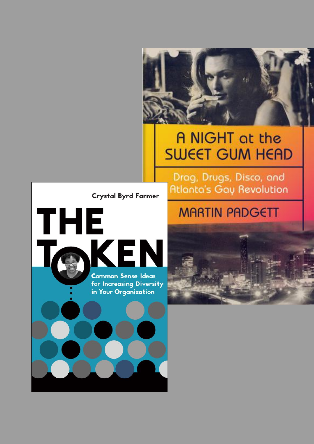### A NIGHT at the **SWEET GUM HEAD**

**Crystal Byrd Farmer** 

**THE** KEI **Common Sense Ideas** for Increasing Diversity in Your Organization

### **MARTIN PADGETT**

Drag, Drugs, Disco, and

**Atlanta's Gay Revolution**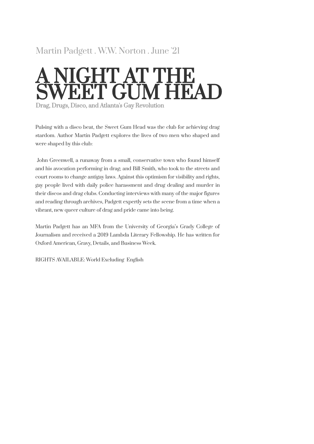#### Martin Padgett . W.W. Norton . June '21

## A NIGHT AT THE SWEET GUM HEAD

Drag, Drugs, Disco, and Atlanta's Gay Revolution

Pulsing with a disco beat, the Sweet Gum Head was the club for achieving drag stardom. Author Martin Padgett explores the lives of two men who shaped and were shaped by this club:

John Greenwell, a runaway from a small, conservative town who found himself and his avocation performing in drag; and Bill Smith, who took to the streets and court rooms to change antigay laws. Against this optimism for visibility and rights, gay people lived with daily police harassment and drug dealing and murder in their discos and drag clubs. Conducting interviews with many of the major figures and reading through archives, Padgett expertly sets the scene from a time when a vibrant, new queer culture of drag and pride came into being.

Martin Padgett has an MFA from the University of Georgia's Grady College of Journalism and received a 2019 Lambda Literary Fellowship. He has written for Oxford American, Gravy, Details, and Business Week.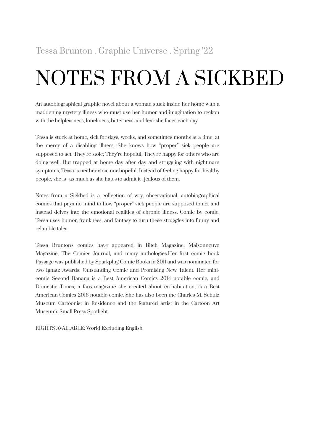## NOTES FROM A SICKBED

An autobiographical graphic novel about a woman stuck inside her home with a maddening mystery illness who must use her humor and imagination to reckon with the helplessness, loneliness, bitterness, and fear she faces each day.

Tessa is stuck at home, sick for days, weeks, and sometimes months at a time, at the mercy of a disabling illness. She knows how "proper" sick people are supposed to act: They're stoic; They're hopeful; They're happy for others who are doing well. But trapped at home day after day and struggling with nightmare symptoms, Tessa is neither stoic nor hopeful. Instead of feeling happy for healthy people, she is--as much as she hates to admit it--jealous of them.

Notes from a Sickbed is a collection of wry, observational, autobiographical comics that pays no mind to how "proper" sick people are supposed to act and instead delves into the emotional realities of chronic illness. Comic by comic, Tessa uses humor, frankness, and fantasy to turn these struggles into funny and relatable tales.

Tessa Brunton's comics have appeared in Bitch Magazine, Maisonneuve Magazine, The Comics Journal, and many anthologies.Her first comic book Passage was published by Sparkplug Comic Books in 2011 and was nominated for two Ignatz Awards: Outstanding Comic and Promising New Talent. Her minicomic Second Banana is a Best American Comics 2014 notable comic, and Domestic Times, a faux-magazine she created about co-habitation, is a Best American Comics 2016 notable comic. She has also been the Charles M. Schulz Museum Cartoonist in Residence and the featured artist in the Cartoon Art Museum's Small Press Spotlight.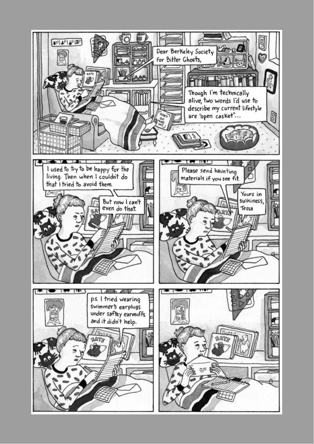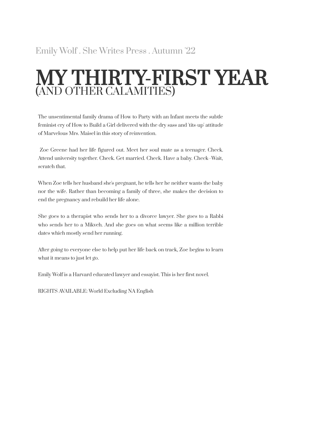### MY THIRTY-FIRST YEAR (AND OTHER CALAMITIES)

The unsentimental family drama of How to Party with an Infant meets the subtle feminist cry of How to Build a Girl delivered with the dry sass and 'tits-up' attitude of Marvelous Mrs. Maisel in this story of reinvention.

Zoe Greene had her life figured out. Meet her soul mate as a teenager. Check. Attend university together. Check. Get married. Check. Have a baby. Check--Wait, scratch that.

When Zoe tells her husband she's pregnant, he tells her he neither wants the baby nor the wife. Rather than becoming a family of three, she makes the decision to end the pregnancy and rebuild her life alone.

She goes to a therapist who sends her to a divorce lawyer. She goes to a Rabbi who sends her to a Mikveh. And she goes on what seems like a million terrible dates which mostly send her running.

After going to everyone else to help put her life back on track, Zoe begins to learn what it means to just let go.

Emily Wolf is a Harvard educated lawyer and essayist. This is her first novel.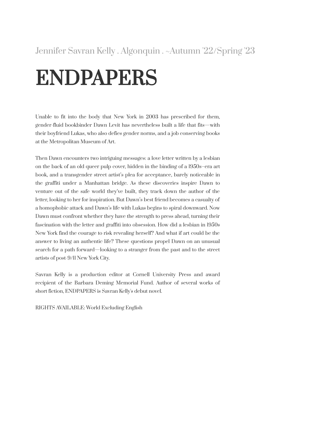# ENDPAPERS

Unable to fit into the body that New York in 2003 has prescribed for them, gender-fluid bookbinder Dawn Levit has nevertheless built a life that fits—with their boyfriend Lukas, who also defies gender norms, and a job conserving books at the Metropolitan Museum of Art.

Then Dawn encounters two intriguing messages: a love letter written by a lesbian on the back of an old queer pulp cover, hidden in the binding of a 1950s–era art book, and a transgender street artist's plea for acceptance, barely noticeable in the graffiti under a Manhattan bridge. As these discoveries inspire Dawn to venture out of the safe world they've built, they track down the author of the letter, looking to her for inspiration. But Dawn's best friend becomes a casualty of a homophobic attack and Dawn's life with Lukas begins to spiral downward. Now Dawn must confront whether they have the strength to press ahead, turning their fascination with the letter and graffiti into obsession. How did a lesbian in 1950s New York find the courage to risk revealing herself? And what if art could be the answer to living an authentic life? These questions propel Dawn on an unusual search for a path forward—looking to a stranger from the past and to the street artists of post-9/11 New York City.

Savran Kelly is a production editor at Cornell University Press and award recipient of the Barbara Deming Memorial Fund. Author of several works of short fiction, ENDPAPERS is Savran Kelly's debut novel.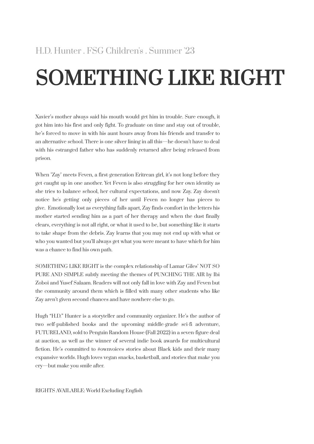# SOMETHING LIKE RIGHT

Xavier's mother always said his mouth would get him in trouble. Sure enough, it got him into his first and only fight. To graduate on time and stay out of trouble, he's forced to move in with his aunt hours away from his friends and transfer to an alternative school. There is one silver lining in all this—he doesn't have to deal with his estranged father who has suddenly returned after being released from prison.

When "Zay" meets Feven, a first-generation Eritrean girl, it's not long before they get caught up in one another. Yet Feven is also struggling for her own identity as she tries to balance school, her cultural expectations, and now Zay. Zay doesn't notice he's getting only pieces of her until Feven no longer has pieces to give. Emotionally lost as everything falls apart, Zay finds comfort in the letters his mother started sending him as a part of her therapy and when the dust finally clears, everything is not all right, or what it used to be, but something like it starts to take shape from the debris. Zay learns that you may not end up with what or who you wanted but you'll always get what you were meant to have which for him was a chance to find his own path.

SOMETHING LIKE RIGHT is the complex relationship of Lamar Giles' NOT SO PURE AND SIMPLE subtly meeting the themes of PUNCHING THE AIR by Ibi Zoboi and Yusef Salaam. Readers will not only fall in love with Zay and Feven but the community around them which is filled with many other students who like Zay aren't given second chances and have nowhere else to go.

Hugh "H.D." Hunter is a storyteller and community organizer. He's the author of two self-published books and the upcoming middle-grade sci-fi adventure, FUTURELAND, sold to Penguin Random House (Fall 2022) in a seven-figure deal at auction, as well as the winner of several indie book awards for multicultural fiction. He's committed to #ownvoices stories about Black kids and their many expansive worlds. Hugh loves vegan snacks, basketball, and stories that make you cry—but make you smile after.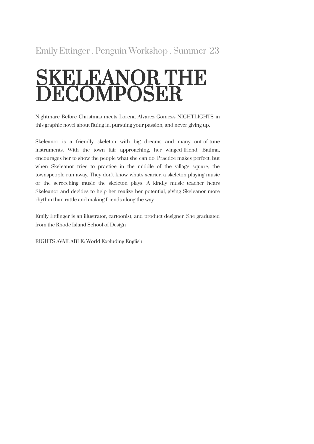#### Emily Ettinger . Penguin Workshop . Summer '23

## SKELEANOR THE DECOMPOSER

Nightmare Before Christmas meets Lorena Alvarez Gomez's NIGHTLIGHTS in this graphic novel about fitting in, pursuing your passion, and never giving up.

Skeleanor is a friendly skeleton with big dreams and many out-of-tune instruments. With the town fair approaching, her winged-friend, Batima, encourages her to show the people what she can do. Practice makes perfect, but when Skeleanor tries to practice in the middle of the village square, the townspeople run away. They don't know what's scarier, a skeleton playing music or the screeching music the skeleton plays! A kindly music teacher hears Skeleanor and decides to help her realize her potential, giving Skeleanor more rhythm than rattle and making friends along the way.

Emily Ettlinger is an illustrator, cartoonist, and product designer. She graduated from the Rhode Island School of Design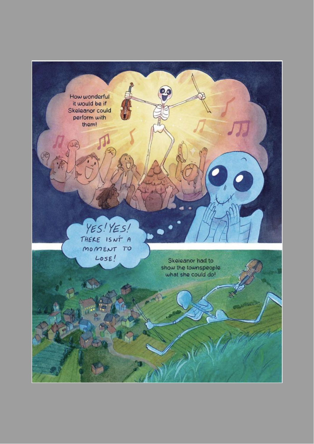